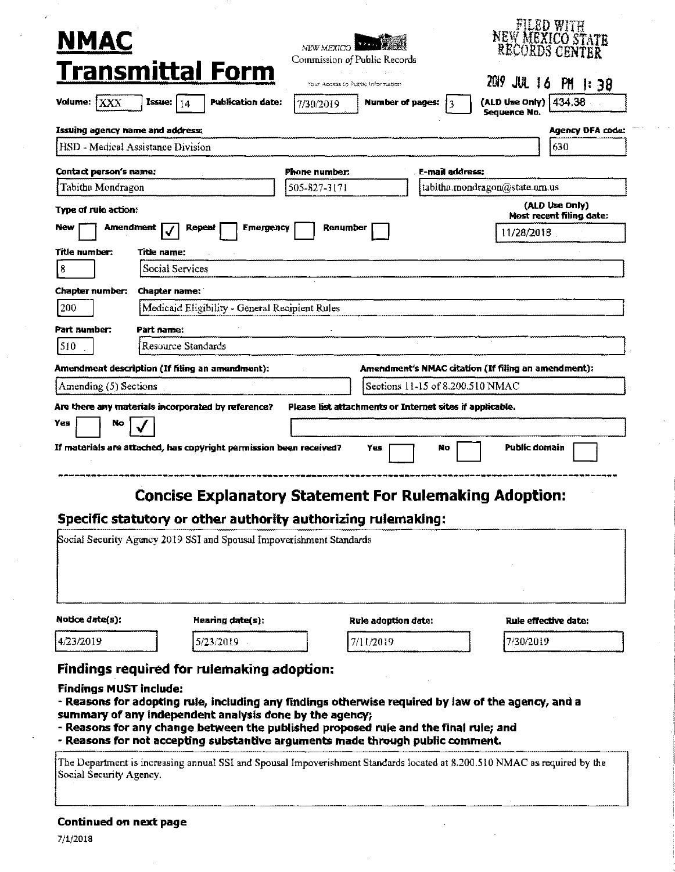| <b>NMAC</b>                                                                                                                                                                                                                                                                                                                                       |                                                               |                  |                   |                                                          |                                                 |                                  |                        |                                                     |                |                  |
|---------------------------------------------------------------------------------------------------------------------------------------------------------------------------------------------------------------------------------------------------------------------------------------------------------------------------------------------------|---------------------------------------------------------------|------------------|-------------------|----------------------------------------------------------|-------------------------------------------------|----------------------------------|------------------------|-----------------------------------------------------|----------------|------------------|
|                                                                                                                                                                                                                                                                                                                                                   |                                                               |                  |                   | NEW MEXICO                                               |                                                 |                                  |                        | <b>NEW MEXICO STATE</b><br>RECORDS CENTER           |                |                  |
|                                                                                                                                                                                                                                                                                                                                                   |                                                               |                  |                   | Commission of Public Records                             |                                                 |                                  |                        |                                                     |                |                  |
| <b>Transmittal Form</b>                                                                                                                                                                                                                                                                                                                           |                                                               |                  |                   |                                                          | ang matan<br>Your Access to Public Information. |                                  |                        | 2019<br>JUL 16 PM 1:38                              |                |                  |
| Volume:<br><b>JXXX</b>                                                                                                                                                                                                                                                                                                                            | Issue:<br>14                                                  |                  | Publication date: | 7/30/2019                                                |                                                 | Number of pages:                 | 13                     | (ALD Use Only) $ 434.38 $                           |                |                  |
| Issuing agency name and address;                                                                                                                                                                                                                                                                                                                  |                                                               |                  |                   |                                                          |                                                 |                                  |                        | Sequence No.                                        |                | Agency DFA code: |
| HSD - Medical Assistance Division                                                                                                                                                                                                                                                                                                                 |                                                               |                  |                   |                                                          |                                                 |                                  |                        |                                                     | 630            |                  |
| Contact person's name:                                                                                                                                                                                                                                                                                                                            |                                                               |                  |                   | Phone number:                                            |                                                 |                                  | <b>E-mail address:</b> |                                                     |                |                  |
| Tabitha Mondragon                                                                                                                                                                                                                                                                                                                                 |                                                               |                  |                   | 505-827-3171                                             |                                                 |                                  |                        | tabitha.mondragon@state.nm.us                       |                |                  |
| Type of rule action:                                                                                                                                                                                                                                                                                                                              |                                                               |                  |                   |                                                          |                                                 |                                  |                        | Most recent filing date:                            | (ALD Use Only) |                  |
| Amendment<br><b>New</b>                                                                                                                                                                                                                                                                                                                           |                                                               | Repeat           | Emergency         |                                                          | Renumber                                        |                                  |                        | 11/28/2018                                          |                |                  |
| Title number:                                                                                                                                                                                                                                                                                                                                     | Title name:                                                   |                  |                   |                                                          |                                                 |                                  |                        |                                                     |                |                  |
| $\vert$ 8                                                                                                                                                                                                                                                                                                                                         | Social Services                                               |                  |                   |                                                          |                                                 |                                  |                        |                                                     |                |                  |
| Chapter number:                                                                                                                                                                                                                                                                                                                                   | Chapter name:                                                 |                  |                   |                                                          |                                                 |                                  |                        |                                                     |                |                  |
| 200                                                                                                                                                                                                                                                                                                                                               |                                                               |                  |                   | Medicaid Eligibility - General Recipient Rules           |                                                 |                                  |                        |                                                     |                |                  |
| Part number:                                                                                                                                                                                                                                                                                                                                      | Part name:                                                    |                  |                   |                                                          |                                                 |                                  |                        |                                                     |                |                  |
| ISI0.                                                                                                                                                                                                                                                                                                                                             | Resource Standards                                            |                  |                   |                                                          |                                                 |                                  |                        |                                                     |                |                  |
| Amendment description (If filing an amendment):                                                                                                                                                                                                                                                                                                   |                                                               |                  |                   |                                                          |                                                 |                                  |                        | Amendment's NMAC citation (If filing an amendment): |                |                  |
| Amending (5) Sections                                                                                                                                                                                                                                                                                                                             |                                                               |                  |                   |                                                          |                                                 | Sections 11-15 of 8,200.510 NMAC |                        |                                                     |                |                  |
| Are there any materials incorporated by reference?                                                                                                                                                                                                                                                                                                |                                                               |                  |                   | Please list attachments or Internet sites if applicable. |                                                 |                                  |                        |                                                     |                |                  |
| Yes<br>No.                                                                                                                                                                                                                                                                                                                                        |                                                               |                  |                   |                                                          |                                                 |                                  |                        |                                                     |                |                  |
|                                                                                                                                                                                                                                                                                                                                                   |                                                               |                  |                   |                                                          | Yes.                                            |                                  |                        |                                                     |                |                  |
|                                                                                                                                                                                                                                                                                                                                                   |                                                               |                  |                   |                                                          |                                                 |                                  | No.                    | Public domain                                       |                |                  |
| If materials are attached, has copyright permission been received?                                                                                                                                                                                                                                                                                |                                                               |                  |                   |                                                          |                                                 |                                  |                        |                                                     |                |                  |
|                                                                                                                                                                                                                                                                                                                                                   | <b>Concise Explanatory Statement For Rulemaking Adoption:</b> |                  |                   |                                                          |                                                 |                                  |                        |                                                     |                |                  |
|                                                                                                                                                                                                                                                                                                                                                   |                                                               |                  |                   |                                                          |                                                 |                                  |                        |                                                     |                |                  |
| Specific statutory or other authority authorizing rulemaking:<br>Social Security Agency 2019 SSI and Spousal Impoverishment Standards                                                                                                                                                                                                             |                                                               |                  |                   |                                                          |                                                 |                                  |                        |                                                     |                |                  |
|                                                                                                                                                                                                                                                                                                                                                   |                                                               |                  |                   |                                                          |                                                 |                                  |                        | Rule effective date:                                |                |                  |
| Notice date(s):                                                                                                                                                                                                                                                                                                                                   |                                                               | Hearing date(s): |                   |                                                          | Rule adoption date:<br>7/11/2019                |                                  |                        |                                                     |                |                  |
|                                                                                                                                                                                                                                                                                                                                                   |                                                               | 5/23/2019        |                   |                                                          |                                                 |                                  |                        | 7/30/2019                                           |                |                  |
|                                                                                                                                                                                                                                                                                                                                                   |                                                               |                  |                   |                                                          |                                                 |                                  |                        |                                                     |                |                  |
| 4/23/2019<br>Findings required for rulemaking adoption:<br><b>Findings MUST include:</b><br>- Reasons for adopting rule, including any findings otherwise required by law of the agency, and a<br>summary of any independent analysis done by the agency;<br>- Reasons for any change between the published proposed rule and the final rule; and |                                                               |                  |                   |                                                          |                                                 |                                  |                        |                                                     |                |                  |

The Department is increasing annual SSI and Spousal Impoverishment Standards located at 8.200,510 NMAC as required by the Social Security Agency.

## **Continued on next page**

7/1/2018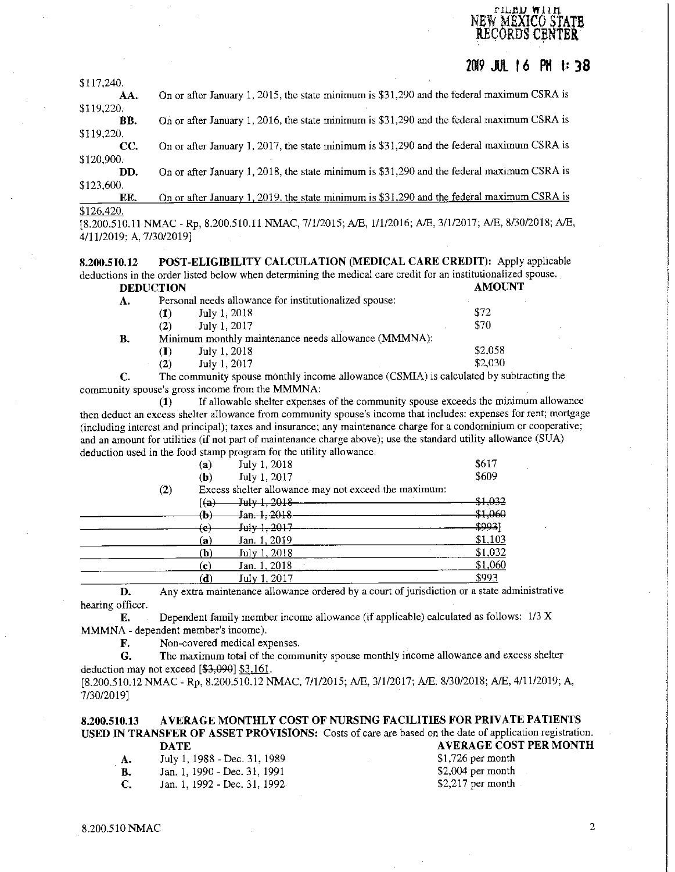\$117,240. **20l9 JUL** I *6* **PH f: 38 AA.** On or after January 1, 2015, the state minimum is \$31,290 and the federal maximum CSRA is \$119,220. **BB.** On or after January 1, 2016, the state minimum is \$31,290 and the federal maximum CSRA is \$119,220. **CC.** On or after January 1, 2017, the state minimum is \$31,290 and the federal maximum CSRA is \$120,900. **DD.** On or after January 1, 2018, the state minimum is \$31,290 and the federal maximum CSRA is

\$123,600. **EE.** On or after January 1, 2019. the state minimum is \$31,290 and the federal maximum CSRA is \$126,420.

[8.200.510.11 NMAC - Rp, 8.200.510.11 NMAC, 7/1/2015; A/E, 1/1/2016; A/E, 3/1/2017; A/E, 8/30/2018; A/E, 4/11/2019; A, 7/30/2019]

**8.200.510.12 POST-ELIGIBILITY CALCULATION (MEDICAL CARE CREDIT):** Apply applicable deductions in the order listed below when determining the medical care credit for an institutionalized spouse.<br>DEDUCTION AMOUNT **DEDUCTION** 

| А. |     | Personal needs allowance for institutionalized spouse: |         |
|----|-----|--------------------------------------------------------|---------|
|    | (1) | July 1, 2018                                           | \$72    |
|    | (2) | July 1, 2017                                           | \$70    |
| В. |     | Minimum monthly maintenance needs allowance (MMMNA):   |         |
|    | (I) | July 1, 2018                                           | \$2,058 |
|    | (2) | July 1, 2017                                           | \$2,030 |

**C.** The community spouse monthly income allowance (CSMIA) is calculated by subtracting the community spouse's gross income from the MMMNA:

(1) If allowable shelter expenses of the community spouse exceeds the minimum allowance then deduct an excess shelter allowance from community spouse's income that includes: expenses for rent; mortgage (including interest and principal); taxes and insurance; any maintenance charge for a condominium or cooperative; and an amount for utilities (if not part of maintenance charge above); use the standard utility allowance (SUA) deduction used in the food stamp program for the utility allowance.

|          | ${\bf (a)}$               | July 1, 2018                                         | \$617   |
|----------|---------------------------|------------------------------------------------------|---------|
|          | (b)                       | July 1, 2017                                         | \$609   |
| $\rm(2)$ |                           | Excess shelter allowance may not exceed the maximum: |         |
|          | [ <del>(a)</del>          | July 1, 2018                                         | \$1,032 |
|          | (b)                       | Jan. 1, 2018                                         | \$1,060 |
|          | $\left(\textbf{e}\right)$ | July 1, 2017                                         | \$993]  |
|          | (a)                       | Jan. 1, 2019                                         | \$1,103 |
|          | (b)                       | July 1, 2018                                         | \$1,032 |
|          | (c)                       | Jan. 1, 2018                                         | \$1,060 |
|          | $(\mathbf{d})$            | July 1, 2017                                         | \$993   |
|          |                           |                                                      |         |

D. Any extra maintenance allowance ordered by a court of jurisdiction or a state administrative hearing officer.

**E.** Dependent family member income allowance (if applicable) calculated as follows: 1/3 X **MMMNA-** dependent member's income).

**F.** Non-covered medical expenses.

G. The maximum total of the community spouse monthly income allowance and excess shelter deduction may not exceed  $[$3,090]$  \$3,161.

[8.200.510.12 NMAC - Rp, 8.200.510.12 NMAC, 7/1/2015; A/E, 3/1/2017; A/E. 8/30/2018; A/E, 4/11/2019; A, 7/30/2019]

**8.200.510.13 AVERAGE MONTHLY COST OF NURSING FACILITIES FOR PRIVATE PATIENTS USED** IN **TRANSFER OF ASSET PROVISIONS:** Costs of care are based on the date of application registration. **DATE DATE AVERAGE COST PER MONTH** 

| А.  | July 1, 1988 - Dec. 31, 1989  |
|-----|-------------------------------|
| В.  | Jan. 1, 1990 - Dec. 31, 1991  |
| -C. | Jan. 1, 1992 - Dec. 31, 1992. |

\$1,726 per month \$2,004 per month \$2,217 per month

!' lJ,Jl,lJ **W** ll il. NEW MEXICO STATE **RECORDS CENTER**